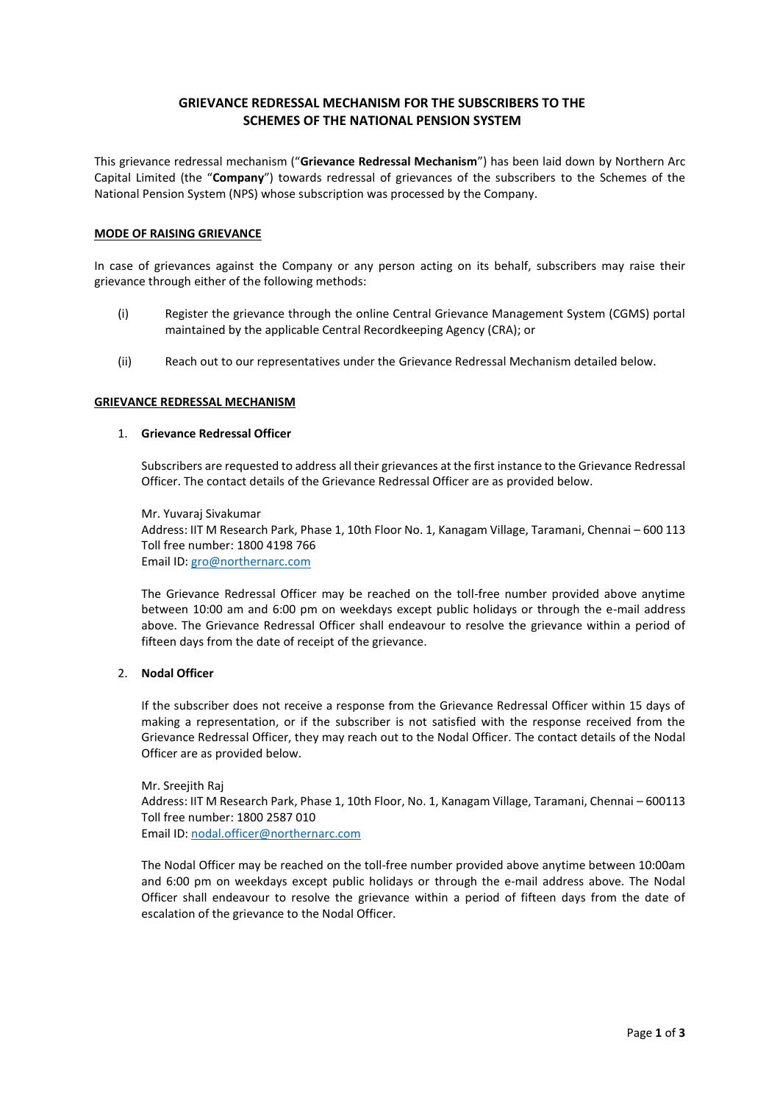# **GRIEVANCE REDRESSAL MECHANISM FOR THE SUBSCRIBERS TO THE SCHEMES OF THE NATIONAL PENSION SYSTEM**

This grievance redressal mechanism ("**Grievance Redressal Mechanism**") has been laid down by Northern Arc Capital Limited (the "**Company**") towards redressal of grievances of the subscribers to the Schemes of the National Pension System (NPS) whose subscription was processed by the Company.

## **MODE OF RAISING GRIEVANCE**

In case of grievances against the Company or any person acting on its behalf, subscribers may raise their grievance through either of the following methods:

- (i) Register the grievance through the online Central Grievance Management System (CGMS) portal maintained by the applicable Central Recordkeeping Agency (CRA); or
- (ii) Reach out to our representatives under the Grievance Redressal Mechanism detailed below.

### **GRIEVANCE REDRESSAL MECHANISM**

### 1. **Grievance Redressal Officer**

Subscribers are requested to address all their grievances at the first instance to the Grievance Redressal Officer. The contact details of the Grievance Redressal Officer are as provided below.

Mr. Yuvaraj Sivakumar Address: IIT M Research Park, Phase 1, 10th Floor No. 1, Kanagam Village, Taramani, Chennai – 600 113 Toll free number: 1800 4198 766 Email ID: [gro@northernarc.com](mailto:gro@northernarc.com)

The Grievance Redressal Officer may be reached on the toll-free number provided above anytime between 10:00 am and 6:00 pm on weekdays except public holidays or through the e-mail address above. The Grievance Redressal Officer shall endeavour to resolve the grievance within a period of fifteen days from the date of receipt of the grievance.

# 2. **Nodal Officer**

If the subscriber does not receive a response from the Grievance Redressal Officer within 15 days of making a representation, or if the subscriber is not satisfied with the response received from the Grievance Redressal Officer, they may reach out to the Nodal Officer. The contact details of the Nodal Officer are as provided below.

Mr. Sreejith Raj Address: IIT M Research Park, Phase 1, 10th Floor, No. 1, Kanagam Village, Taramani, Chennai – 600113 Toll free number: 1800 2587 010 Email ID: [nodal.officer@northernarc.com](mailto:nodal.officer@northernarc.com)

The Nodal Officer may be reached on the toll-free number provided above anytime between 10:00am and 6:00 pm on weekdays except public holidays or through the e-mail address above. The Nodal Officer shall endeavour to resolve the grievance within a period of fifteen days from the date of escalation of the grievance to the Nodal Officer.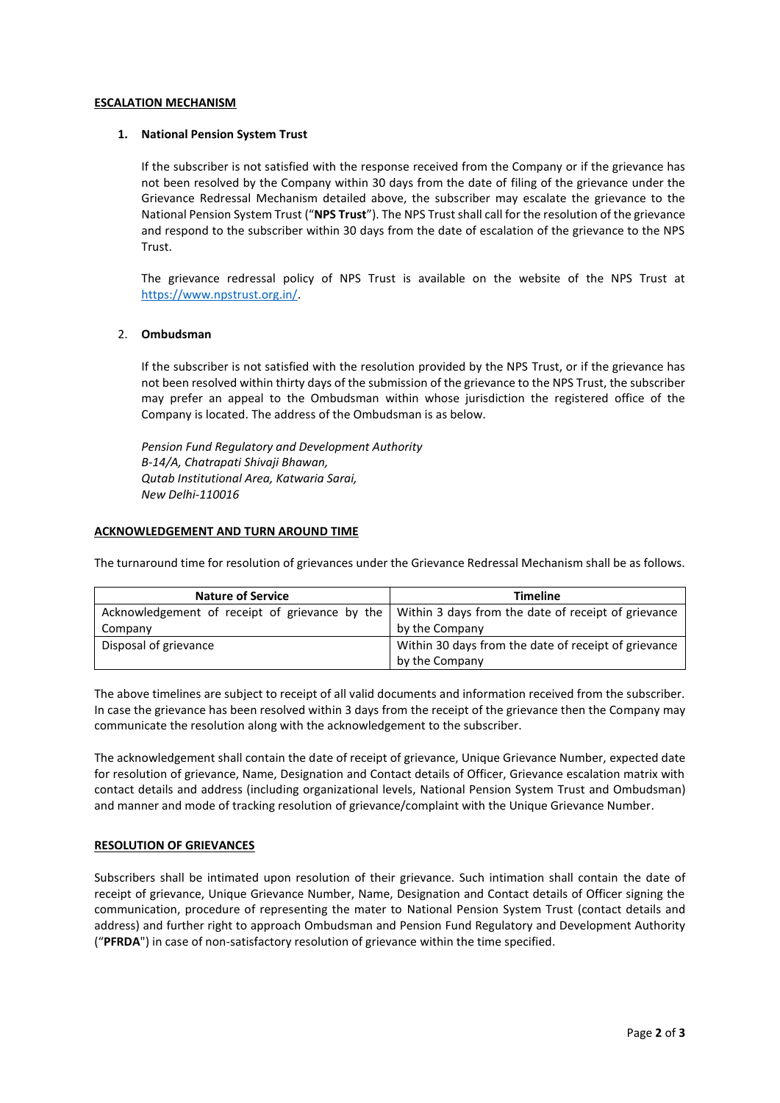### **ESCALATION MECHANISM**

## **1. National Pension System Trust**

If the subscriber is not satisfied with the response received from the Company or if the grievance has not been resolved by the Company within 30 days from the date of filing of the grievance under the Grievance Redressal Mechanism detailed above, the subscriber may escalate the grievance to the National Pension System Trust ("**NPS Trust**"). The NPS Trust shall call for the resolution of the grievance and respond to the subscriber within 30 days from the date of escalation of the grievance to the NPS Trust.

The grievance redressal policy of NPS Trust is available on the website of the NPS Trust at [https://www.npstrust.org.in/.](https://www.npstrust.org.in/)

## 2. **Ombudsman**

If the subscriber is not satisfied with the resolution provided by the NPS Trust, or if the grievance has not been resolved within thirty days of the submission of the grievance to the NPS Trust, the subscriber may prefer an appeal to the Ombudsman within whose jurisdiction the registered office of the Company is located. The address of the Ombudsman is as below.

*Pension Fund Regulatory and Development Authority B-14/A, Chatrapati Shivaji Bhawan, Qutab Institutional Area, Katwaria Sarai, New Delhi-110016*

## **ACKNOWLEDGEMENT AND TURN AROUND TIME**

The turnaround time for resolution of grievances under the Grievance Redressal Mechanism shall be as follows.

| <b>Nature of Service</b> | <b>Timeline</b>                                                                                      |
|--------------------------|------------------------------------------------------------------------------------------------------|
|                          | Acknowledgement of receipt of grievance by the   Within 3 days from the date of receipt of grievance |
| Company                  | by the Company                                                                                       |
| Disposal of grievance    | Within 30 days from the date of receipt of grievance                                                 |
|                          | by the Company                                                                                       |

The above timelines are subject to receipt of all valid documents and information received from the subscriber. In case the grievance has been resolved within 3 days from the receipt of the grievance then the Company may communicate the resolution along with the acknowledgement to the subscriber.

The acknowledgement shall contain the date of receipt of grievance, Unique Grievance Number, expected date for resolution of grievance, Name, Designation and Contact details of Officer, Grievance escalation matrix with contact details and address (including organizational levels, National Pension System Trust and Ombudsman) and manner and mode of tracking resolution of grievance/complaint with the Unique Grievance Number.

### **RESOLUTION OF GRIEVANCES**

Subscribers shall be intimated upon resolution of their grievance. Such intimation shall contain the date of receipt of grievance, Unique Grievance Number, Name, Designation and Contact details of Officer signing the communication, procedure of representing the mater to National Pension System Trust (contact details and address) and further right to approach Ombudsman and Pension Fund Regulatory and Development Authority ("**PFRDA**") in case of non-satisfactory resolution of grievance within the time specified.